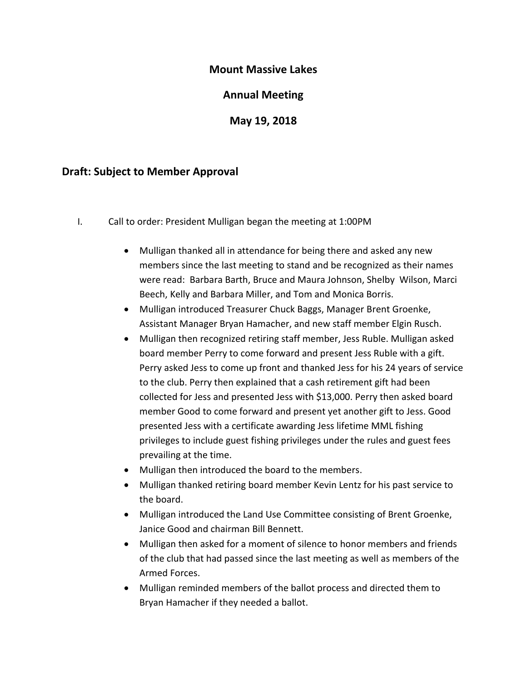# **Mount Massive Lakes**

#### **Annual Meeting**

**May 19, 2018**

#### **Draft: Subject to Member Approval**

- I. Call to order: President Mulligan began the meeting at 1:00PM
	- Mulligan thanked all in attendance for being there and asked any new members since the last meeting to stand and be recognized as their names were read: Barbara Barth, Bruce and Maura Johnson, Shelby Wilson, Marci Beech, Kelly and Barbara Miller, and Tom and Monica Borris.
	- Mulligan introduced Treasurer Chuck Baggs, Manager Brent Groenke, Assistant Manager Bryan Hamacher, and new staff member Elgin Rusch.
	- Mulligan then recognized retiring staff member, Jess Ruble. Mulligan asked board member Perry to come forward and present Jess Ruble with a gift. Perry asked Jess to come up front and thanked Jess for his 24 years of service to the club. Perry then explained that a cash retirement gift had been collected for Jess and presented Jess with \$13,000. Perry then asked board member Good to come forward and present yet another gift to Jess. Good presented Jess with a certificate awarding Jess lifetime MML fishing privileges to include guest fishing privileges under the rules and guest fees prevailing at the time.
	- Mulligan then introduced the board to the members.
	- Mulligan thanked retiring board member Kevin Lentz for his past service to the board.
	- Mulligan introduced the Land Use Committee consisting of Brent Groenke, Janice Good and chairman Bill Bennett.
	- Mulligan then asked for a moment of silence to honor members and friends of the club that had passed since the last meeting as well as members of the Armed Forces.
	- Mulligan reminded members of the ballot process and directed them to Bryan Hamacher if they needed a ballot.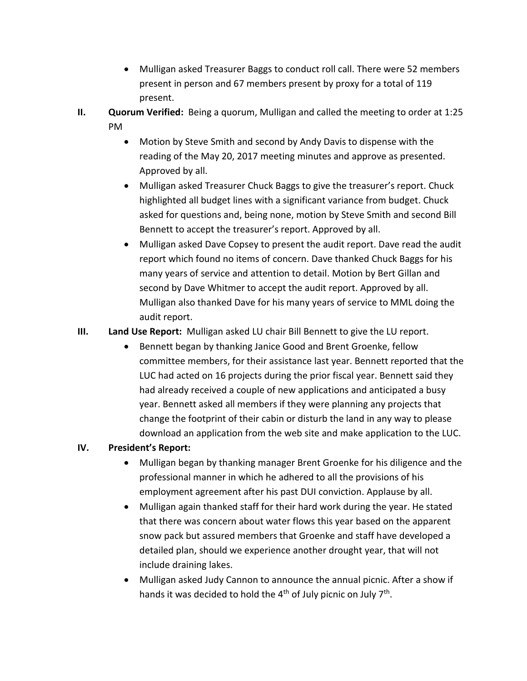- Mulligan asked Treasurer Baggs to conduct roll call. There were 52 members present in person and 67 members present by proxy for a total of 119 present.
- **II. Quorum Verified:** Being a quorum, Mulligan and called the meeting to order at 1:25 PM
	- Motion by Steve Smith and second by Andy Davis to dispense with the reading of the May 20, 2017 meeting minutes and approve as presented. Approved by all.
	- Mulligan asked Treasurer Chuck Baggs to give the treasurer's report. Chuck highlighted all budget lines with a significant variance from budget. Chuck asked for questions and, being none, motion by Steve Smith and second Bill Bennett to accept the treasurer's report. Approved by all.
	- Mulligan asked Dave Copsey to present the audit report. Dave read the audit report which found no items of concern. Dave thanked Chuck Baggs for his many years of service and attention to detail. Motion by Bert Gillan and second by Dave Whitmer to accept the audit report. Approved by all. Mulligan also thanked Dave for his many years of service to MML doing the audit report.

# **III. Land Use Report:** Mulligan asked LU chair Bill Bennett to give the LU report.

• Bennett began by thanking Janice Good and Brent Groenke, fellow committee members, for their assistance last year. Bennett reported that the LUC had acted on 16 projects during the prior fiscal year. Bennett said they had already received a couple of new applications and anticipated a busy year. Bennett asked all members if they were planning any projects that change the footprint of their cabin or disturb the land in any way to please download an application from the web site and make application to the LUC.

# **IV. President's Report:**

- Mulligan began by thanking manager Brent Groenke for his diligence and the professional manner in which he adhered to all the provisions of his employment agreement after his past DUI conviction. Applause by all.
- Mulligan again thanked staff for their hard work during the year. He stated that there was concern about water flows this year based on the apparent snow pack but assured members that Groenke and staff have developed a detailed plan, should we experience another drought year, that will not include draining lakes.
- Mulligan asked Judy Cannon to announce the annual picnic. After a show if hands it was decided to hold the 4<sup>th</sup> of July picnic on July 7<sup>th</sup>.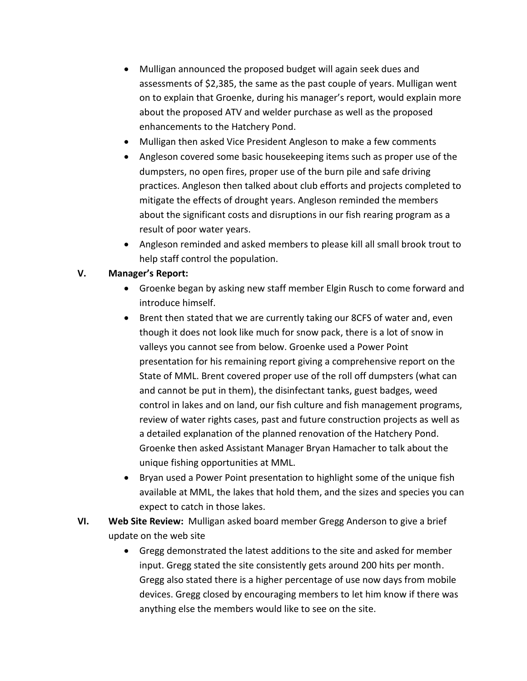- Mulligan announced the proposed budget will again seek dues and assessments of \$2,385, the same as the past couple of years. Mulligan went on to explain that Groenke, during his manager's report, would explain more about the proposed ATV and welder purchase as well as the proposed enhancements to the Hatchery Pond.
- Mulligan then asked Vice President Angleson to make a few comments
- Angleson covered some basic housekeeping items such as proper use of the dumpsters, no open fires, proper use of the burn pile and safe driving practices. Angleson then talked about club efforts and projects completed to mitigate the effects of drought years. Angleson reminded the members about the significant costs and disruptions in our fish rearing program as a result of poor water years.
- Angleson reminded and asked members to please kill all small brook trout to help staff control the population.

# **V. Manager's Report:**

- Groenke began by asking new staff member Elgin Rusch to come forward and introduce himself.
- Brent then stated that we are currently taking our 8CFS of water and, even though it does not look like much for snow pack, there is a lot of snow in valleys you cannot see from below. Groenke used a Power Point presentation for his remaining report giving a comprehensive report on the State of MML. Brent covered proper use of the roll off dumpsters (what can and cannot be put in them), the disinfectant tanks, guest badges, weed control in lakes and on land, our fish culture and fish management programs, review of water rights cases, past and future construction projects as well as a detailed explanation of the planned renovation of the Hatchery Pond. Groenke then asked Assistant Manager Bryan Hamacher to talk about the unique fishing opportunities at MML.
- Bryan used a Power Point presentation to highlight some of the unique fish available at MML, the lakes that hold them, and the sizes and species you can expect to catch in those lakes.
- **VI. Web Site Review:** Mulligan asked board member Gregg Anderson to give a brief update on the web site
	- Gregg demonstrated the latest additions to the site and asked for member input. Gregg stated the site consistently gets around 200 hits per month. Gregg also stated there is a higher percentage of use now days from mobile devices. Gregg closed by encouraging members to let him know if there was anything else the members would like to see on the site.